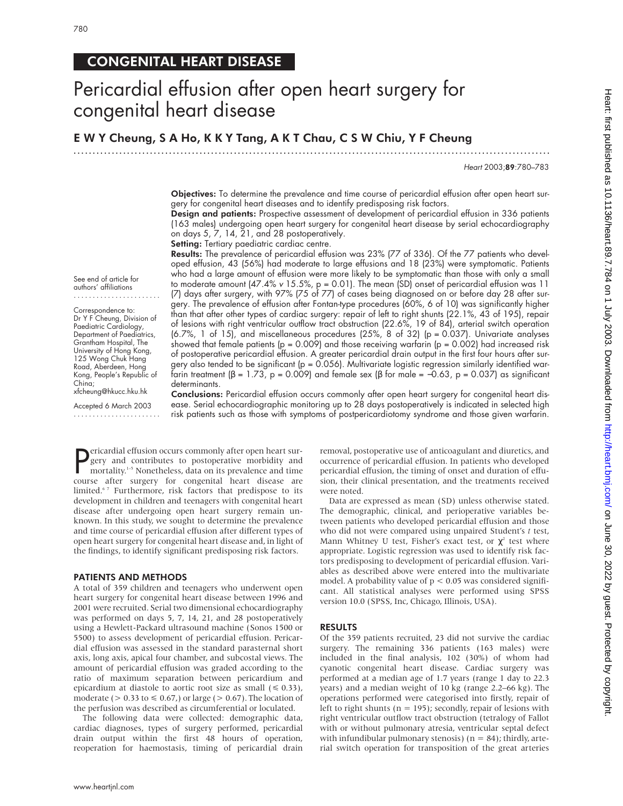780

## CONGENITAL HEART DISEASE

# Pericardial effusion after open heart surgery for congenital heart disease

E W Y Cheung, S A Ho, K K Y Tang, A K T Chau, C S W Chiu, Y F Cheung

.............................................................................................................................

Heart 2003;89:780–783

Objectives: To determine the prevalence and time course of pericardial effusion after open heart surgery for congenital heart diseases and to identify predisposing risk factors.

Design and patients: Prospective assessment of development of pericardial effusion in 336 patients (163 males) undergoing open heart surgery for congenital heart disease by serial echocardiography on days 5, 7, 14, 21, and 28 postoperatively.

Setting: Tertiary paediatric cardiac centre.

Results: The prevalence of pericardial effusion was 23% (77 of 336). Of the 77 patients who developed effusion, 43 (56%) had moderate to large effusions and 18 (23%) were symptomatic. Patients who had a large amount of effusion were more likely to be symptomatic than those with only a small to moderate amount (47.4% <sup>v</sup> 15.5%, p = 0.01). The mean (SD) onset of pericardial effusion was 11 (7) days after surgery, with 97% (75 of 77) of cases being diagnosed on or before day 28 after surgery. The prevalence of effusion after Fontan-type procedures (60%, 6 of 10) was significantly higher than that after other types of cardiac surgery: repair of left to right shunts (22.1%, 43 of 195), repair of lesions with right ventricular outflow tract obstruction (22.6%, 19 of 84), arterial switch operation (6.7%, 1 of 15), and miscellaneous procedures (25%, 8 of 32) (p = 0.037). Univariate analyses showed that female patients (p = 0.009) and those receiving warfarin (p = 0.002) had increased risk of postoperative pericardial effusion. A greater pericardial drain output in the first four hours after surgery also tended to be significant ( $p = 0.056$ ). Multivariate logistic regression similarly identified warfarin treatment (β = 1.73, p = 0.009) and female sex (β for male = -0.63, p = 0.037) as significant determinants.

See end of article for authors' affiliations .......................

Correspondence to: Dr Y F Cheung, Division of Paediatric Cardiology, Department of Paediatrics, Grantham Hospital, The University of Hong Kong, 125 Wong Chuk Hang Road, Aberdeen, Hong Kong, People's Republic of China; xfcheung@hkucc.hku.hk

Accepted 6 March 2003 .......................

Conclusions: Pericardial effusion occurs commonly after open heart surgery for congenital heart disease. Serial echocardiographic monitoring up to 28 days postoperatively is indicated in selected high risk patients such as those with symptoms of postpericardiotomy syndrome and those given warfarin.

**P**ericardial effusion occurs commonly after open heart sur-<br>gery and contributes to postoperative morbidity and<br>mortality.<sup>1-5</sup> Nonetheless, data on its prevalence and time<br>course after surgery for congenital heart diseas ericardial effusion occurs commonly after open heart surgery and contributes to postoperative morbidity and mortality.<sup>1-5</sup> Nonetheless, data on its prevalence and time limited.<sup>67</sup> Furthermore, risk factors that predispose to its development in children and teenagers with congenital heart disease after undergoing open heart surgery remain unknown. In this study, we sought to determine the prevalence and time course of pericardial effusion after different types of open heart surgery for congenital heart disease and, in light of the findings, to identify significant predisposing risk factors.

#### PATIENTS AND METHODS

A total of 359 children and teenagers who underwent open heart surgery for congenital heart disease between 1996 and 2001 were recruited. Serial two dimensional echocardiography was performed on days 5, 7, 14, 21, and 28 postoperatively using a Hewlett-Packard ultrasound machine (Sonos 1500 or 5500) to assess development of pericardial effusion. Pericardial effusion was assessed in the standard parasternal short axis, long axis, apical four chamber, and subcostal views. The amount of pericardial effusion was graded according to the ratio of maximum separation between pericardium and epicardium at diastole to aortic root size as small  $(\leq 0.33)$ , moderate ( $> 0.33$  to  $\leq 0.67$ ) or large ( $> 0.67$ ). The location of the perfusion was described as circumferential or loculated.

The following data were collected: demographic data, cardiac diagnoses, types of surgery performed, pericardial drain output within the first 48 hours of operation, reoperation for haemostasis, timing of pericardial drain

removal, postoperative use of anticoagulant and diuretics, and occurrence of pericardial effusion. In patients who developed pericardial effusion, the timing of onset and duration of effusion, their clinical presentation, and the treatments received were noted.

Data are expressed as mean (SD) unless otherwise stated. The demographic, clinical, and perioperative variables between patients who developed pericardial effusion and those who did not were compared using unpaired Student's *t* test, Mann Whitney U test, Fisher's exact test, or  $\chi^2$  test where appropriate. Logistic regression was used to identify risk factors predisposing to development of pericardial effusion. Variables as described above were entered into the multivariate model. A probability value of  $p < 0.05$  was considered significant. All statistical analyses were performed using SPSS version 10.0 (SPSS, Inc, Chicago, Illinois, USA).

#### RESULTS

Of the 359 patients recruited, 23 did not survive the cardiac surgery. The remaining 336 patients (163 males) were included in the final analysis, 102 (30%) of whom had cyanotic congenital heart disease. Cardiac surgery was performed at a median age of 1.7 years (range 1 day to 22.3 years) and a median weight of 10 kg (range 2.2–66 kg). The operations performed were categorised into firstly, repair of left to right shunts ( $n = 195$ ); secondly, repair of lesions with right ventricular outflow tract obstruction (tetralogy of Fallot with or without pulmonary atresia, ventricular septal defect with infundibular pulmonary stenosis) ( $n = 84$ ); thirdly, arterial switch operation for transposition of the great arteries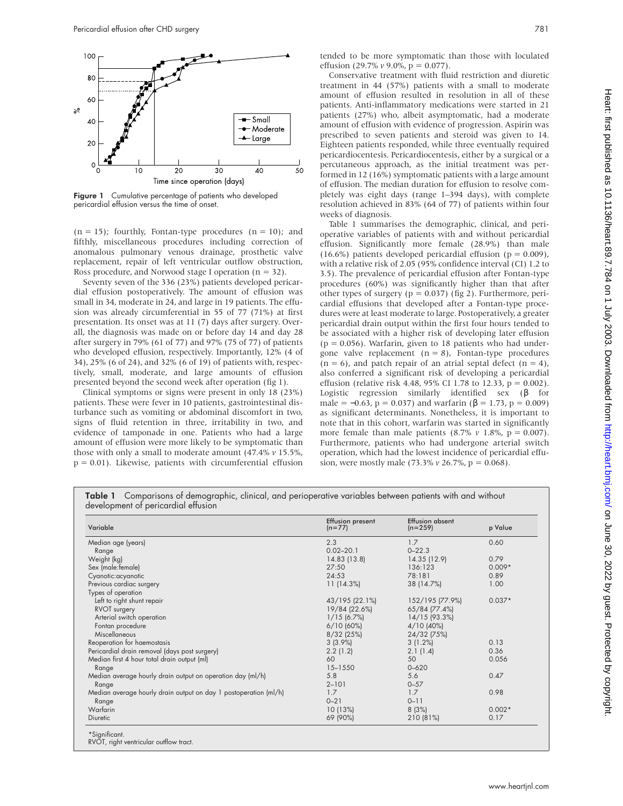

Figure 1 Cumulative percentage of patients who developed pericardial effusion versus the time of onset.

 $(n = 15)$ ; fourthly, Fontan-type procedures  $(n = 10)$ ; and fifthly, miscellaneous procedures including correction of anomalous pulmonary venous drainage, prosthetic valve replacement, repair of left ventricular outflow obstruction, Ross procedure, and Norwood stage I operation ( $n = 32$ ).

Seventy seven of the 336 (23%) patients developed pericardial effusion postoperatively. The amount of effusion was small in 34, moderate in 24, and large in 19 patients. The effusion was already circumferential in 55 of 77 (71%) at first presentation. Its onset was at 11 (7) days after surgery. Overall, the diagnosis was made on or before day 14 and day 28 after surgery in 79% (61 of 77) and 97% (75 of 77) of patients who developed effusion, respectively. Importantly, 12% (4 of 34), 25% (6 of 24), and 32% (6 of 19) of patients with, respectively, small, moderate, and large amounts of effusion presented beyond the second week after operation (fig 1).

Clinical symptoms or signs were present in only 18 (23%) patients. These were fever in 10 patients, gastrointestinal disturbance such as vomiting or abdominal discomfort in two, signs of fluid retention in three, irritability in two, and evidence of tamponade in one. Patients who had a large amount of effusion were more likely to be symptomatic than those with only a small to moderate amount (47.4% *v* 15.5%,  $p = 0.01$ ). Likewise, patients with circumferential effusion

tended to be more symptomatic than those with loculated effusion (29.7% *v* 9.0%, p = 0.077).

Conservative treatment with fluid restriction and diuretic treatment in 44 (57%) patients with a small to moderate amount of effusion resulted in resolution in all of these patients. Anti-inflammatory medications were started in 21 patients (27%) who, albeit asymptomatic, had a moderate amount of effusion with evidence of progression. Aspirin was prescribed to seven patients and steroid was given to 14. Eighteen patients responded, while three eventually required pericardiocentesis. Pericardiocentesis, either by a surgical or a percutaneous approach, as the initial treatment was performed in 12 (16%) symptomatic patients with a large amount of effusion. The median duration for effusion to resolve completely was eight days (range 1–394 days), with complete resolution achieved in 83% (64 of 77) of patients within four weeks of diagnosis.

Table 1 summarises the demographic, clinical, and perioperative variables of patients with and without pericardial effusion. Significantly more female (28.9%) than male  $(16.6\%)$  patients developed pericardial effusion (p = 0.009), with a relative risk of 2.05 (95% confidence interval (CI) 1.2 to 3.5). The prevalence of pericardial effusion after Fontan-type procedures (60%) was significantly higher than that after other types of surgery ( $p = 0.037$ ) (fig 2). Furthermore, pericardial effusions that developed after a Fontan-type procedures were at least moderate to large. Postoperatively, a greater pericardial drain output within the first four hours tended to be associated with a higher risk of developing later effusion  $(p = 0.056)$ . Warfarin, given to 18 patients who had undergone valve replacement  $(n = 8)$ , Fontan-type procedures  $(n = 6)$ , and patch repair of an atrial septal defect  $(n = 4)$ , also conferred a significant risk of developing a pericardial effusion (relative risk 4.48, 95% CI 1.78 to 12.33, p = 0.002). Logistic regression similarly identified sex (β for male =  $-0.63$ , p = 0.037) and warfarin ( $\beta$  = 1.73, p = 0.009) as significant determinants. Nonetheless, it is important to note that in this cohort, warfarin was started in significantly more female than male patients  $(8.7\% \text{ v } 1.8\%, \text{ p } = 0.007)$ . Furthermore, patients who had undergone arterial switch operation, which had the lowest incidence of pericardial effusion, were mostly male (73.3% *v* 26.7%, p = 0.068).

| Variable                                                         | Effusion present<br>$(n=77)$ | <b>Effusion absent</b><br>$(n=259)$ | p Value  |
|------------------------------------------------------------------|------------------------------|-------------------------------------|----------|
| Median age (years)                                               | 2.3                          | 1.7                                 | 0.60     |
| Range                                                            | $0.02 - 20.1$                | $0 - 22.3$                          |          |
| Weight (kg)                                                      | 14.83 (13.8)                 | 14.35 (12.9)                        | 0.79     |
| Sex (male: female)                                               | 27:50                        | 136:123                             | $0.009*$ |
| Cyanotic: acyanotic                                              | 24:53                        | 78:181                              | 0.89     |
| Previous cardiac surgery                                         | 11(14.3%)                    | 38 (14.7%)                          | 1.00     |
| Types of operation                                               |                              |                                     |          |
| Left to right shunt repair                                       | 43/195 (22.1%)               | 152/195 (77.9%)                     | $0.037*$ |
| RVOT surgery                                                     | 19/84 (22.6%)                | 65/84 (77.4%)                       |          |
| Arterial switch operation                                        | $1/15$ (6.7%)                | 14/15 (93.3%)                       |          |
| Fontan procedure                                                 | $6/10$ (60%)                 | $4/10$ (40%)                        |          |
| Miscellaneous                                                    | $8/32$ (25%)                 | 24/32 (75%)                         |          |
| Reoperation for haemostasis                                      | $3(3.9\%)$                   | 3(1.2%)                             | 0.13     |
| Pericardial drain removal (days post surgery)                    | 2.2(1.2)                     | 2.1(1.4)                            | 0.36     |
| Median first 4 hour total drain output (ml)                      | 60                           | 50                                  | 0.056    |
| Range                                                            | $15 - 1550$                  | $0 - 620$                           |          |
| Median average hourly drain output on operation day (ml/h)       | 5.8                          | 5.6                                 | 0.47     |
| Range                                                            | $2 - 101$                    | $0 - 57$                            |          |
| Median average hourly drain output on day 1 postoperation (ml/h) | 1.7                          | 1.7                                 | 0.98     |
| Range                                                            | $0 - 21$                     | $0 - 11$                            |          |
| Warfarin                                                         | 10(13%)                      | 8(3%)                               | $0.002*$ |
| Diuretic                                                         | 69 (90%)                     | 210 (81%)                           | 0.17     |

Table 1 Comparisons of demographic, clinical, and perioperative variables between patients with and without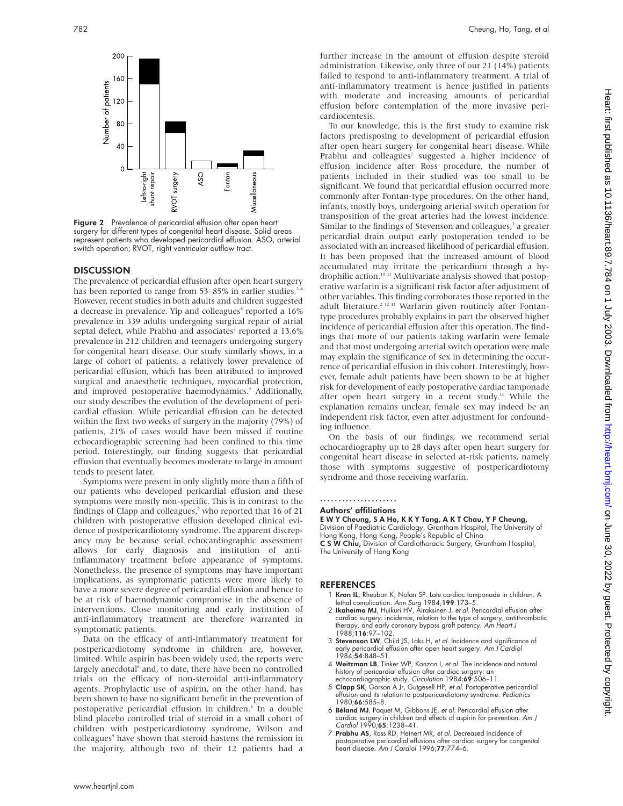

Figure 2 Prevalence of pericardial effusion after open heart surgery for different types of congenital heart disease. Solid areas represent patients who developed pericardial effusion. ASO, arterial switch operation; RVOT, right ventricular outflow tract.

#### **DISCUSSION**

The prevalence of pericardial effusion after open heart surgery has been reported to range from 53–85% in earlier studies.<sup>2</sup> However, recent studies in both adults and children suggested a decrease in prevalence. Yip and colleagues<sup>8</sup> reported a 16% prevalence in 339 adults undergoing surgical repair of atrial septal defect, while Prabhu and associates<sup>7</sup> reported a 13.6% prevalence in 212 children and teenagers undergoing surgery for congenital heart disease. Our study similarly shows, in a large of cohort of patients, a relatively lower prevalence of pericardial effusion, which has been attributed to improved surgical and anaesthetic techniques, myocardial protection, and improved postoperative haemodynamics.<sup>7</sup> Additionally, our study describes the evolution of the development of pericardial effusion. While pericardial effusion can be detected within the first two weeks of surgery in the majority (79%) of patients, 21% of cases would have been missed if routine echocardiographic screening had been confined to this time period. Interestingly, our finding suggests that pericardial effusion that eventually becomes moderate to large in amount tends to present later.

Symptoms were present in only slightly more than a fifth of our patients who developed pericardial effusion and these symptoms were mostly non-specific. This is in contrast to the findings of Clapp and colleagues,<sup>5</sup> who reported that 16 of 21 children with postoperative effusion developed clinical evidence of postpericardiotomy syndrome. The apparent discrepancy may be because serial echocardiographic assessment allows for early diagnosis and institution of antiinflammatory treatment before appearance of symptoms. Nonetheless, the presence of symptoms may have important implications, as symptomatic patients were more likely to have a more severe degree of pericardial effusion and hence to be at risk of haemodynamic compromise in the absence of interventions. Close monitoring and early institution of anti-inflammatory treatment are therefore warranted in symptomatic patients.

Data on the efficacy of anti-inflammatory treatment for postpericardiotomy syndrome in children are, however, limited. While aspirin has been widely used, the reports were largely anecdotal<sup>6</sup> and, to date, there have been no controlled trials on the efficacy of non-steroidal anti-inflammatory agents. Prophylactic use of aspirin, on the other hand, has been shown to have no significant benefit in the prevention of postoperative pericardial effusion in children.<sup>6</sup> In a double blind placebo controlled trial of steroid in a small cohort of children with postpericardiotomy syndrome, Wilson and colleagues<sup>9</sup> have shown that steroid hastens the remission in the majority, although two of their 12 patients had a

further increase in the amount of effusion despite steroid administration. Likewise, only three of our 21 (14%) patients failed to respond to anti-inflammatory treatment. A trial of anti-inflammatory treatment is hence justified in patients with moderate and increasing amounts of pericardial effusion before contemplation of the more invasive pericardiocentesis.

To our knowledge, this is the first study to examine risk factors predisposing to development of pericardial effusion after open heart surgery for congenital heart disease. While Prabhu and colleagues<sup>7</sup> suggested a higher incidence of effusion incidence after Ross procedure, the number of patients included in their studied was too small to be significant. We found that pericardial effusion occurred more commonly after Fontan-type procedures. On the other hand, infants, mostly boys, undergoing arterial switch operation for transposition of the great arteries had the lowest incidence. Similar to the findings of Stevenson and colleagues,<sup>3</sup> a greater pericardial drain output early postoperation tended to be associated with an increased likelihood of pericardial effusion. It has been proposed that the increased amount of blood accumulated may irritate the pericardium through a hydrophilic action.<sup>10</sup> <sup>11</sup> Multivariate analysis showed that postoperative warfarin is a significant risk factor after adjustment of other variables. This finding corroborates those reported in the adult literature.<sup>2 12 13</sup> Warfarin given routinely after Fontantype procedures probably explains in part the observed higher incidence of pericardial effusion after this operation. The findings that more of our patients taking warfarin were female and that most undergoing arterial switch operation were male may explain the significance of sex in determining the occurrence of pericardial effusion in this cohort. Interestingly, however, female adult patients have been shown to be at higher risk for development of early postoperative cardiac tamponade after open heart surgery in a recent study.<sup>14</sup> While the explanation remains unclear, female sex may indeed be an independent risk factor, even after adjustment for confounding influence.

On the basis of our findings, we recommend serial echocardiography up to 28 days after open heart surgery for congenital heart disease in selected at-risk patients, namely those with symptoms suggestive of postpericardiotomy syndrome and those receiving warfarin.

### .....................

#### Authors' affiliations

E W Y Cheung, S A Ho, KKYTang, A K T Chau, Y F Cheung, Division of Paediatric Cardiology, Grantham Hospital, The University of<br>Hong Kong, Hong Kong, People's Republic of China<br>**C S W Chiu,** Division of Cardiothoracic Surgery, Grantham Hospital,

The University of Hong Kong

#### REFERENCES

- 1 Kron IL, Rheuban K, Nolan SP. Late cardiac tamponade in children. A lethal complication. *Ann Surg* 1984;**199**:173–5.<br>2 **Ikaheimo MJ**, Huikuri HV, Airaksinen J, *et al*. Pericardial effusion after
- cardiac surgery: incidence, relation to the type of surgery, antithrombotic therapy, and early coronary bypass graft patency. Am Heart J 1988;116:97–102.
- 3 Stevenson LW, Child JS, Laks H, et al. Incidence and significance of early pericardial effusion after open heart surgery. Am J Cardiol 1984;54:848–51.
- 4 Weitzman LB, Tinker WP, Konzon I, et al. The incidence and natural history of pericardial effusion after cardiac surgery: an echocardiographic study. Circulation 1984;69:506-11.
- Clapp SK, Garson A Jr, Gutgesell HP, et al. Postoperative pericardial effusion and its relation to postpericardiotomy syndrome. Pediatrics 1980;66:585–8.
- 6 Béland MJ, Paquet M, Gibbons JE, et al. Pericardial effusion after cardiac surgery in children and effects of aspirin for prevention. Am J Cardiol 1990;65:1238–41.
- 7 Prabhu AS, Ross RD, Heinert MR, et al. Decreased incidence of postoperative pericardial effusions after cardiac surgery for congenital heart disease. Am J Cardiol 1996;77:774–6.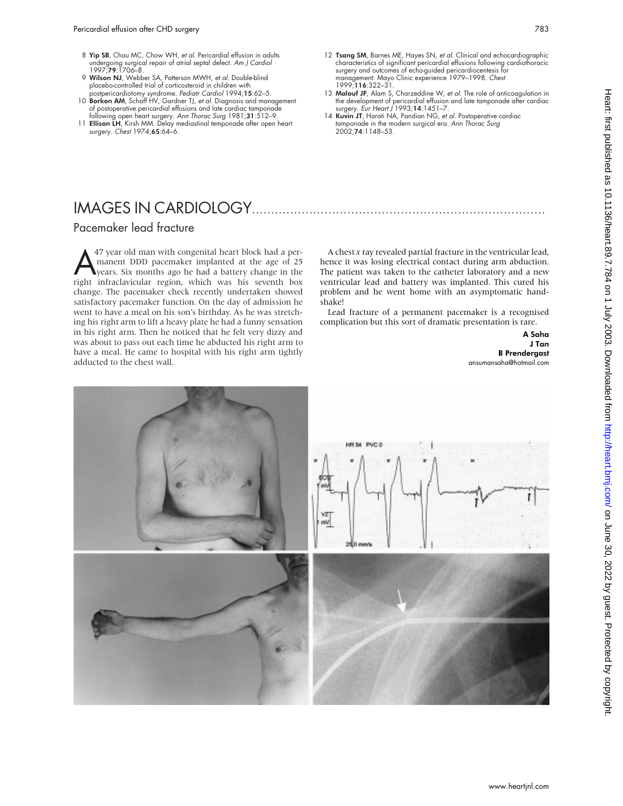- 8 Yip SB, Chau MC, Chow WH, et al. Pericardial effusion in adults undergoing surgical repair of atrial septal defect. *Am J Cardiol*<br>1997;**79**:1706–8.
- 9 Wilson NJ, Webber SA, Patterson MWH, et al. Double-blind placebo-controlled trial of corticosteroid in children with
- postpericardiotomy syndrome. *Pediatr Cardiol* 1994;**15**:62–5.<br>10 **Borkon AM**, Schaff HV, Gardner TJ, *et al*. Diagnosis and management of postoperative pericardial effusions and late cardiac tamponade following open heart surgery. Ann Thorac Surg 1981;31:512–9.
- 11 Ellison LH, Kirsh MM. Delay mediastinal temponade after open heart surgery. Chest 1974;65:64–6.
- 12 Tsang SM, Barnes ME, Hayes SN, et al. Clinical and echocardiographic characteristics of significant pericardial effusions following cardiothoracic surgery and outcomes of echo-guided pericardiocentesis for management: Mayo Clinic experience 1979–1998. Chest 1999;116:322–31.
- 13 Malouf JF, Alam S, Charzeddine W, et al. The role of anticoagulation in the development of pericardial effusion and late tamponade after cardiac surgery. Eur Heart J 1993;14:1451–7.
- 14 Kuvin JT, Harati NA, Pandian NG, et al. Postoperative cardiac tamponade in the modern surgical era. Ann Thorac Surg 2002;74:1148–53.

# IMAGES IN CARDIOLOGY.............................................................................

### Pacemaker lead fracture

A<sup>47</sup> year old man with congenital heart block had a per-<br>manent DDD pacemaker implanted at the age of 25<br>years. Six months ago he had a battery change in the<br>right infractavicular region, which was his seventh box manent DDD pacemaker implanted at the age of 25 years. Six months ago he had a battery change in the right infraclavicular region, which was his seventh box change. The pacemaker check recently undertaken showed satisfactory pacemaker function. On the day of admission he went to have a meal on his son's birthday. As he was stretching his right arm to lift a heavy plate he had a funny sensation in his right arm. Then he noticed that he felt very dizzy and was about to pass out each time he abducted his right arm to have a meal. He came to hospital with his right arm tightly adducted to the chest wall.

A chest *x* ray revealed partial fracture in the ventricular lead, hence it was losing electrical contact during arm abduction. The patient was taken to the catheter laboratory and a new ventricular lead and battery was implanted. This cured his problem and he went home with an asymptomatic handshake!

Lead fracture of a permanent pacemaker is a recognised complication but this sort of dramatic presentation is rare.